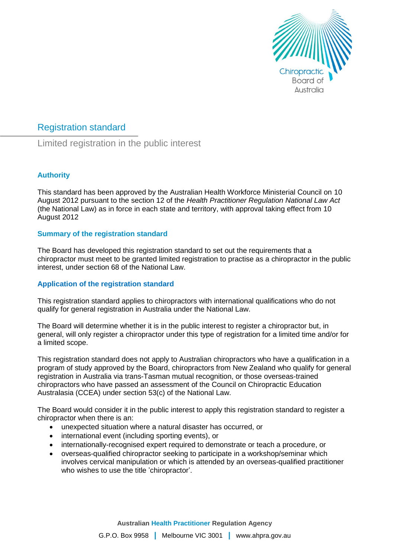

# Registration standard

Limited registration in the public interest

## **Authority**

This standard has been approved by the Australian Health Workforce Ministerial Council on 10 August 2012 pursuant to the section 12 of the *Health Practitioner Regulation National Law Act* (the National Law) as in force in each state and territory, with approval taking effect from 10 August 2012

## **Summary of the registration standard**

The Board has developed this registration standard to set out the requirements that a chiropractor must meet to be granted limited registration to practise as a chiropractor in the public interest, under section 68 of the National Law.

## **Application of the registration standard**

This registration standard applies to chiropractors with international qualifications who do not qualify for general registration in Australia under the National Law.

The Board will determine whether it is in the public interest to register a chiropractor but, in general, will only register a chiropractor under this type of registration for a limited time and/or for a limited scope.

This registration standard does not apply to Australian chiropractors who have a qualification in a program of study approved by the Board, chiropractors from New Zealand who qualify for general registration in Australia via trans-Tasman mutual recognition, or those overseas-trained chiropractors who have passed an assessment of the Council on Chiropractic Education Australasia (CCEA) under section 53(c) of the National Law.

The Board would consider it in the public interest to apply this registration standard to register a chiropractor when there is an:

- unexpected situation where a natural disaster has occurred, or
- international event (including sporting events), or
- internationally-recognised expert required to demonstrate or teach a procedure, or
- overseas-qualified chiropractor seeking to participate in a workshop/seminar which involves cervical manipulation or which is attended by an overseas-qualified practitioner who wishes to use the title 'chiropractor'.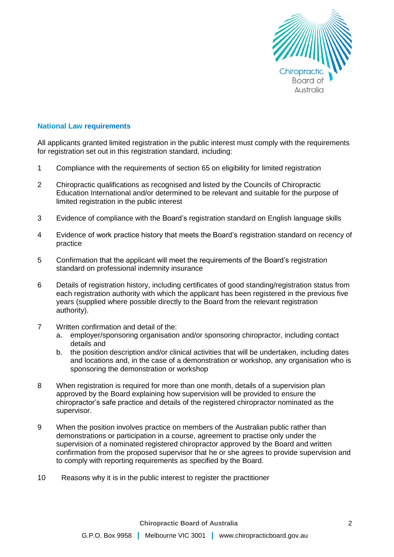

#### **National Law requirements**

All applicants granted limited registration in the public interest must comply with the requirements for registration set out in this registration standard, including:

- 1 Compliance with the requirements of section 65 on eligibility for limited registration
- 2 Chiropractic qualifications as recognised and listed by the Councils of Chiropractic Education International and/or determined to be relevant and suitable for the purpose of limited registration in the public interest
- 3 Evidence of compliance with the Board's registration standard on English language skills
- 4 Evidence of work practice history that meets the Board's registration standard on recency of practice
- 5 Confirmation that the applicant will meet the requirements of the Board's registration standard on professional indemnity insurance
- 6 Details of registration history, including certificates of good standing/registration status from each registration authority with which the applicant has been registered in the previous five years (supplied where possible directly to the Board from the relevant registration authority).
- 7 Written confirmation and detail of the:
	- a. employer/sponsoring organisation and/or sponsoring chiropractor, including contact details and
	- b. the position description and/or clinical activities that will be undertaken, including dates and locations and, in the case of a demonstration or workshop, any organisation who is sponsoring the demonstration or workshop
- 8 When registration is required for more than one month, details of a supervision plan approved by the Board explaining how supervision will be provided to ensure the chiropractor's safe practice and details of the registered chiropractor nominated as the supervisor.
- 9 When the position involves practice on members of the Australian public rather than demonstrations or participation in a course, agreement to practise only under the supervision of a nominated registered chiropractor approved by the Board and written confirmation from the proposed supervisor that he or she agrees to provide supervision and to comply with reporting requirements as specified by the Board.
- 10 Reasons why it is in the public interest to register the practitioner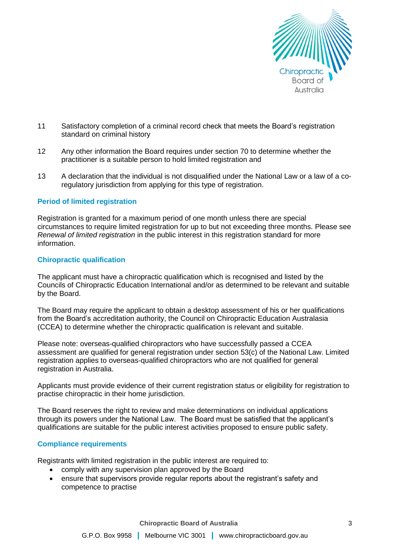

- 11 Satisfactory completion of a criminal record check that meets the Board's registration standard on criminal history
- 12 Any other information the Board requires under section 70 to determine whether the practitioner is a suitable person to hold limited registration and
- 13 A declaration that the individual is not disqualified under the National Law or a law of a coregulatory jurisdiction from applying for this type of registration.

#### **Period of limited registration**

Registration is granted for a maximum period of one month unless there are special circumstances to require limited registration for up to but not exceeding three months. Please see *Renewal of limited registration* in the public interest in this registration standard for more information.

#### **Chiropractic qualification**

The applicant must have a chiropractic qualification which is recognised and listed by the Councils of Chiropractic Education International and/or as determined to be relevant and suitable by the Board.

The Board may require the applicant to obtain a desktop assessment of his or her qualifications from the Board's accreditation authority, the Council on Chiropractic Education Australasia (CCEA) to determine whether the chiropractic qualification is relevant and suitable.

Please note: overseas-qualified chiropractors who have successfully passed a CCEA assessment are qualified for general registration under section 53(c) of the National Law. Limited registration applies to overseas-qualified chiropractors who are not qualified for general registration in Australia.

Applicants must provide evidence of their current registration status or eligibility for registration to practise chiropractic in their home jurisdiction.

The Board reserves the right to review and make determinations on individual applications through its powers under the National Law. The Board must be satisfied that the applicant's qualifications are suitable for the public interest activities proposed to ensure public safety.

#### **Compliance requirements**

Registrants with limited registration in the public interest are required to:

- comply with any supervision plan approved by the Board
- ensure that supervisors provide regular reports about the registrant's safety and competence to practise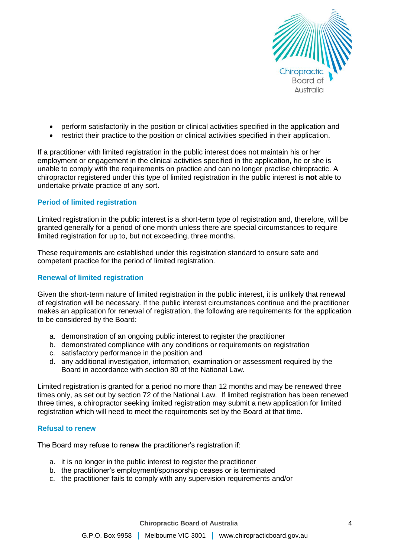

- perform satisfactorily in the position or clinical activities specified in the application and
- restrict their practice to the position or clinical activities specified in their application.

If a practitioner with limited registration in the public interest does not maintain his or her employment or engagement in the clinical activities specified in the application, he or she is unable to comply with the requirements on practice and can no longer practise chiropractic. A chiropractor registered under this type of limited registration in the public interest is **not** able to undertake private practice of any sort.

## **Period of limited registration**

Limited registration in the public interest is a short-term type of registration and, therefore, will be granted generally for a period of one month unless there are special circumstances to require limited registration for up to, but not exceeding, three months.

These requirements are established under this registration standard to ensure safe and competent practice for the period of limited registration.

## **Renewal of limited registration**

Given the short-term nature of limited registration in the public interest, it is unlikely that renewal of registration will be necessary. If the public interest circumstances continue and the practitioner makes an application for renewal of registration, the following are requirements for the application to be considered by the Board:

- a. demonstration of an ongoing public interest to register the practitioner
- b. demonstrated compliance with any conditions or requirements on registration
- c. satisfactory performance in the position and
- d. any additional investigation, information, examination or assessment required by the Board in accordance with section 80 of the National Law.

Limited registration is granted for a period no more than 12 months and may be renewed three times only, as set out by section 72 of the National Law. If limited registration has been renewed three times, a chiropractor seeking limited registration may submit a new application for limited registration which will need to meet the requirements set by the Board at that time.

#### **Refusal to renew**

The Board may refuse to renew the practitioner's registration if:

- a. it is no longer in the public interest to register the practitioner
- b. the practitioner's employment/sponsorship ceases or is terminated
- c. the practitioner fails to comply with any supervision requirements and/or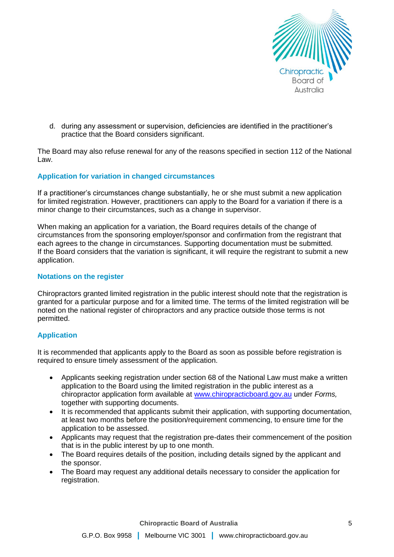

d. during any assessment or supervision, deficiencies are identified in the practitioner's practice that the Board considers significant.

The Board may also refuse renewal for any of the reasons specified in section 112 of the National Law.

## **Application for variation in changed circumstances**

If a practitioner's circumstances change substantially, he or she must submit a new application for limited registration. However, practitioners can apply to the Board for a variation if there is a minor change to their circumstances, such as a change in supervisor.

When making an application for a variation, the Board requires details of the change of circumstances from the sponsoring employer/sponsor and confirmation from the registrant that each agrees to the change in circumstances. Supporting documentation must be submitted. If the Board considers that the variation is significant, it will require the registrant to submit a new application.

#### **Notations on the register**

Chiropractors granted limited registration in the public interest should note that the registration is granted for a particular purpose and for a limited time. The terms of the limited registration will be noted on the national register of chiropractors and any practice outside those terms is not permitted.

## **Application**

It is recommended that applicants apply to the Board as soon as possible before registration is required to ensure timely assessment of the application.

- Applicants seeking registration under section 68 of the National Law must make a written application to the Board using the limited registration in the public interest as a chiropractor application form available at [www.chiropracticboard.gov.au](http://www.chiropracticboard.gov.au/) under *Forms,*  together with supporting documents.
- It is recommended that applicants submit their application, with supporting documentation, at least two months before the position/requirement commencing, to ensure time for the application to be assessed.
- Applicants may request that the registration pre-dates their commencement of the position that is in the public interest by up to one month.
- The Board requires details of the position, including details signed by the applicant and the sponsor.
- The Board may request any additional details necessary to consider the application for registration.